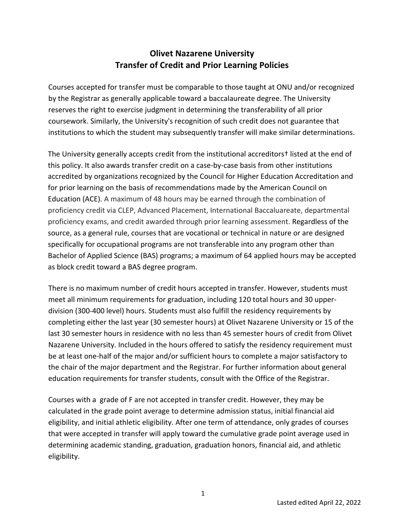## **Olivet Nazarene University Transfer of Credit and Prior Learning Policies**

Courses accepted for transfer must be comparable to those taught at ONU and/or recognized by the Registrar as generally applicable toward a baccalaureate degree. The University reserves the right to exercise judgment in determining the transferability of all prior coursework. Similarly, the University's recognition of such credit does not guarantee that institutions to which the student may subsequently transfer will make similar determinations.

The University generally accepts credit from the institutional accreditors† listed at the end of this policy. It also awards transfer credit on a case-by-case basis from other institutions accredited by organizations recognized by the Council for Higher Education Accreditation and for prior learning on the basis of recommendations made by the American Council on Education (ACE). A maximum of 48 hours may be earned through the combination of proficiency credit via CLEP, Advanced Placement, International Baccaluareate, departmental proficiency exams, and credit awarded through prior learning assessment. Regardless of the source, as a general rule, courses that are vocational or technical in nature or are designed specifically for occupational programs are not transferable into any program other than Bachelor of Applied Science (BAS) programs; a maximum of 64 applied hours may be accepted as block credit toward a BAS degree program.

There is no maximum number of credit hours accepted in transfer. However, students must meet all minimum requirements for graduation, including 120 total hours and 30 upperdivision (300-400 level) hours. Students must also fulfill the residency requirements by completing either the last year (30 semester hours) at Olivet Nazarene University or 15 of the last 30 semester hours in residence with no less than 45 semester hours of credit from Olivet Nazarene University. Included in the hours offered to satisfy the residency requirement must be at least one-half of the major and/or sufficient hours to complete a major satisfactory to the chair of the major department and the Registrar. For further information about general education requirements for transfer students, consult with the Office of the Registrar.

Courses with a grade of F are not accepted in transfer credit. However, they may be calculated in the grade point average to determine admission status, initial financial aid eligibility, and initial athletic eligibility. After one term of attendance, only grades of courses that were accepted in transfer will apply toward the cumulative grade point average used in determining academic standing, graduation, graduation honors, financial aid, and athletic eligibility.